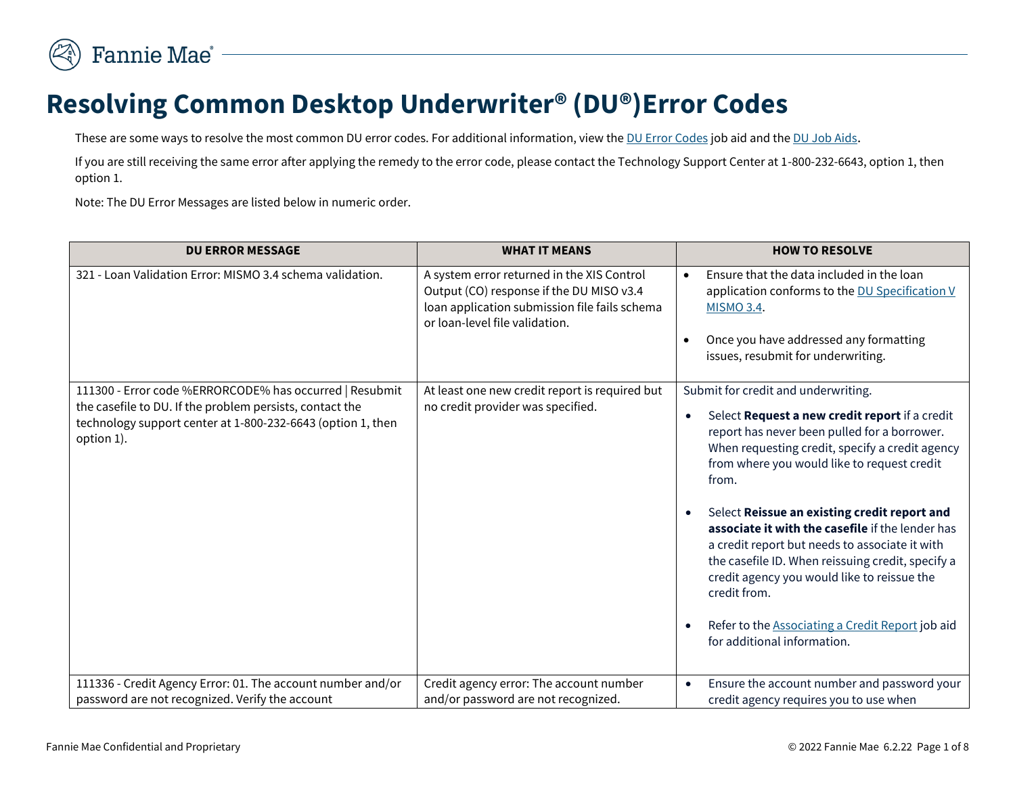

## **Resolving Common Desktop Underwriter® (DU®)Error Codes**

These are some ways to resolve the most common DU error codes. For additional information, view the [DU Error Codes](https://singlefamily.fanniemae.com/media/document/xlsx/du-error-codes) job aid and the [DU Job Aids](https://singlefamily.fanniemae.com/external-resource/new-desktop-underwriter-job-aid).

If you are still receiving the same error after applying the remedy to the error code, please contact the Technology Support Center at 1-800-232-6643, option 1, then option 1.

Note: The DU Error Messages are listed below in numeric order.

| <b>DU ERROR MESSAGE</b>                                                                                                                                                                          | <b>WHAT IT MEANS</b>                                                                                                                                                      | <b>HOW TO RESOLVE</b>                                                                                                                                                                                                                                                                                                                                                                                                                                                                                                                                                                                                                                       |
|--------------------------------------------------------------------------------------------------------------------------------------------------------------------------------------------------|---------------------------------------------------------------------------------------------------------------------------------------------------------------------------|-------------------------------------------------------------------------------------------------------------------------------------------------------------------------------------------------------------------------------------------------------------------------------------------------------------------------------------------------------------------------------------------------------------------------------------------------------------------------------------------------------------------------------------------------------------------------------------------------------------------------------------------------------------|
| 321 - Loan Validation Error: MISMO 3.4 schema validation.                                                                                                                                        | A system error returned in the XIS Control<br>Output (CO) response if the DU MISO v3.4<br>loan application submission file fails schema<br>or loan-level file validation. | Ensure that the data included in the loan<br>application conforms to the DU Specification V<br><b>MISMO 3.4.</b><br>Once you have addressed any formatting<br>$\bullet$<br>issues, resubmit for underwriting.                                                                                                                                                                                                                                                                                                                                                                                                                                               |
| 111300 - Error code %ERRORCODE% has occurred   Resubmit<br>the casefile to DU. If the problem persists, contact the<br>technology support center at 1-800-232-6643 (option 1, then<br>option 1). | At least one new credit report is required but<br>no credit provider was specified.                                                                                       | Submit for credit and underwriting.<br>Select Request a new credit report if a credit<br>$\bullet$<br>report has never been pulled for a borrower.<br>When requesting credit, specify a credit agency<br>from where you would like to request credit<br>from.<br>Select Reissue an existing credit report and<br>$\bullet$<br>associate it with the casefile if the lender has<br>a credit report but needs to associate it with<br>the casefile ID. When reissuing credit, specify a<br>credit agency you would like to reissue the<br>credit from.<br>Refer to the <b>Associating a Credit Report</b> job aid<br>$\bullet$<br>for additional information. |
| 111336 - Credit Agency Error: 01. The account number and/or<br>password are not recognized. Verify the account                                                                                   | Credit agency error: The account number<br>and/or password are not recognized.                                                                                            | Ensure the account number and password your<br>$\bullet$<br>credit agency requires you to use when                                                                                                                                                                                                                                                                                                                                                                                                                                                                                                                                                          |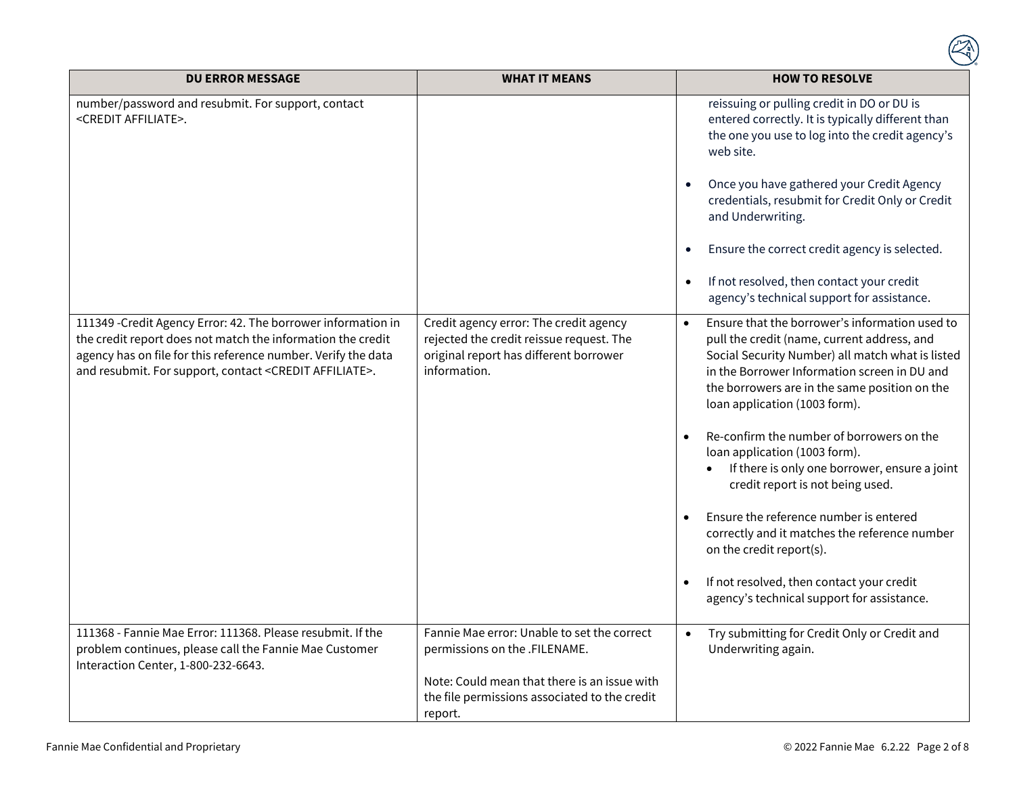| <b>DU ERROR MESSAGE</b>                                                                                                                                                                                                                                             | <b>WHAT IT MEANS</b>                                                                                                                                                                     | <b>HOW TO RESOLVE</b>                                                                                                                                                                                                                                                                                                                                                                                                                                                                                                                                                                                                                                                                 |
|---------------------------------------------------------------------------------------------------------------------------------------------------------------------------------------------------------------------------------------------------------------------|------------------------------------------------------------------------------------------------------------------------------------------------------------------------------------------|---------------------------------------------------------------------------------------------------------------------------------------------------------------------------------------------------------------------------------------------------------------------------------------------------------------------------------------------------------------------------------------------------------------------------------------------------------------------------------------------------------------------------------------------------------------------------------------------------------------------------------------------------------------------------------------|
| number/password and resubmit. For support, contact<br><credit affiliate="">.</credit>                                                                                                                                                                               |                                                                                                                                                                                          | reissuing or pulling credit in DO or DU is<br>entered correctly. It is typically different than<br>the one you use to log into the credit agency's<br>web site.<br>Once you have gathered your Credit Agency<br>credentials, resubmit for Credit Only or Credit<br>and Underwriting.<br>Ensure the correct credit agency is selected.<br>$\bullet$<br>If not resolved, then contact your credit<br>$\bullet$<br>agency's technical support for assistance.                                                                                                                                                                                                                            |
| 111349 - Credit Agency Error: 42. The borrower information in<br>the credit report does not match the information the credit<br>agency has on file for this reference number. Verify the data<br>and resubmit. For support, contact <credit affiliate="">.</credit> | Credit agency error: The credit agency<br>rejected the credit reissue request. The<br>original report has different borrower<br>information.                                             | Ensure that the borrower's information used to<br>$\bullet$<br>pull the credit (name, current address, and<br>Social Security Number) all match what is listed<br>in the Borrower Information screen in DU and<br>the borrowers are in the same position on the<br>loan application (1003 form).<br>Re-confirm the number of borrowers on the<br>loan application (1003 form).<br>If there is only one borrower, ensure a joint<br>credit report is not being used.<br>Ensure the reference number is entered<br>correctly and it matches the reference number<br>on the credit report(s).<br>If not resolved, then contact your credit<br>agency's technical support for assistance. |
| 111368 - Fannie Mae Error: 111368. Please resubmit. If the<br>problem continues, please call the Fannie Mae Customer<br>Interaction Center, 1-800-232-6643.                                                                                                         | Fannie Mae error: Unable to set the correct<br>permissions on the .FILENAME.<br>Note: Could mean that there is an issue with<br>the file permissions associated to the credit<br>report. | Try submitting for Credit Only or Credit and<br>$\bullet$<br>Underwriting again.                                                                                                                                                                                                                                                                                                                                                                                                                                                                                                                                                                                                      |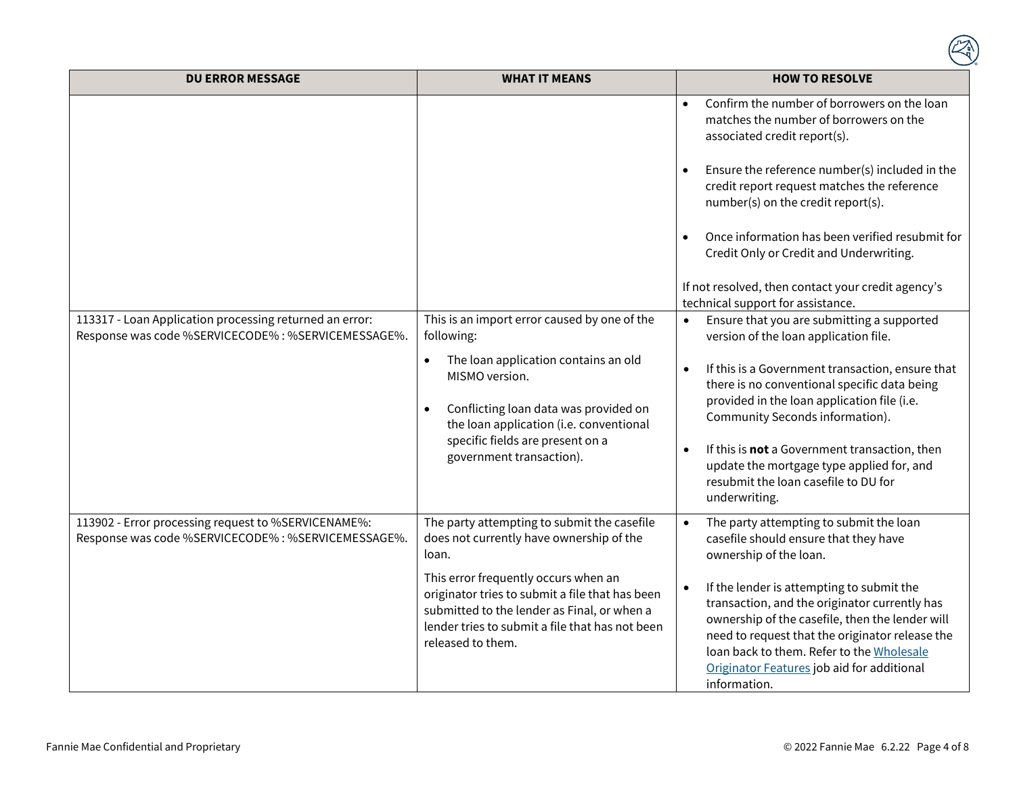| <b>DU ERROR MESSAGE</b>                                                                                       | <b>WHAT IT MEANS</b>                                                                                                                                                                                           | <b>HOW TO RESOLVE</b>                                                                                                                                                                                                                                                                                                    |
|---------------------------------------------------------------------------------------------------------------|----------------------------------------------------------------------------------------------------------------------------------------------------------------------------------------------------------------|--------------------------------------------------------------------------------------------------------------------------------------------------------------------------------------------------------------------------------------------------------------------------------------------------------------------------|
|                                                                                                               |                                                                                                                                                                                                                | Confirm the number of borrowers on the loan<br>matches the number of borrowers on the<br>associated credit report(s).                                                                                                                                                                                                    |
|                                                                                                               |                                                                                                                                                                                                                | Ensure the reference number(s) included in the<br>$\bullet$<br>credit report request matches the reference<br>number(s) on the credit report(s).                                                                                                                                                                         |
|                                                                                                               |                                                                                                                                                                                                                | Once information has been verified resubmit for<br>Credit Only or Credit and Underwriting.                                                                                                                                                                                                                               |
|                                                                                                               |                                                                                                                                                                                                                | If not resolved, then contact your credit agency's<br>technical support for assistance.                                                                                                                                                                                                                                  |
| 113317 - Loan Application processing returned an error:<br>Response was code %SERVICECODE%: %SERVICEMESSAGE%. | This is an import error caused by one of the<br>following:                                                                                                                                                     | Ensure that you are submitting a supported<br>$\bullet$<br>version of the loan application file.                                                                                                                                                                                                                         |
|                                                                                                               | The loan application contains an old<br>$\bullet$<br>MISMO version.<br>Conflicting loan data was provided on<br>$\bullet$<br>the loan application (i.e. conventional<br>specific fields are present on a       | If this is a Government transaction, ensure that<br>$\bullet$<br>there is no conventional specific data being<br>provided in the loan application file (i.e.<br>Community Seconds information).                                                                                                                          |
|                                                                                                               | government transaction).                                                                                                                                                                                       | If this is not a Government transaction, then<br>update the mortgage type applied for, and<br>resubmit the loan casefile to DU for<br>underwriting.                                                                                                                                                                      |
| 113902 - Error processing request to %SERVICENAME%:<br>Response was code %SERVICECODE%: %SERVICEMESSAGE%.     | The party attempting to submit the casefile<br>does not currently have ownership of the<br>loan.                                                                                                               | The party attempting to submit the loan<br>casefile should ensure that they have<br>ownership of the loan.                                                                                                                                                                                                               |
|                                                                                                               | This error frequently occurs when an<br>originator tries to submit a file that has been<br>submitted to the lender as Final, or when a<br>lender tries to submit a file that has not been<br>released to them. | If the lender is attempting to submit the<br>$\bullet$<br>transaction, and the originator currently has<br>ownership of the casefile, then the lender will<br>need to request that the originator release the<br>loan back to them. Refer to the Wholesale<br>Originator Features job aid for additional<br>information. |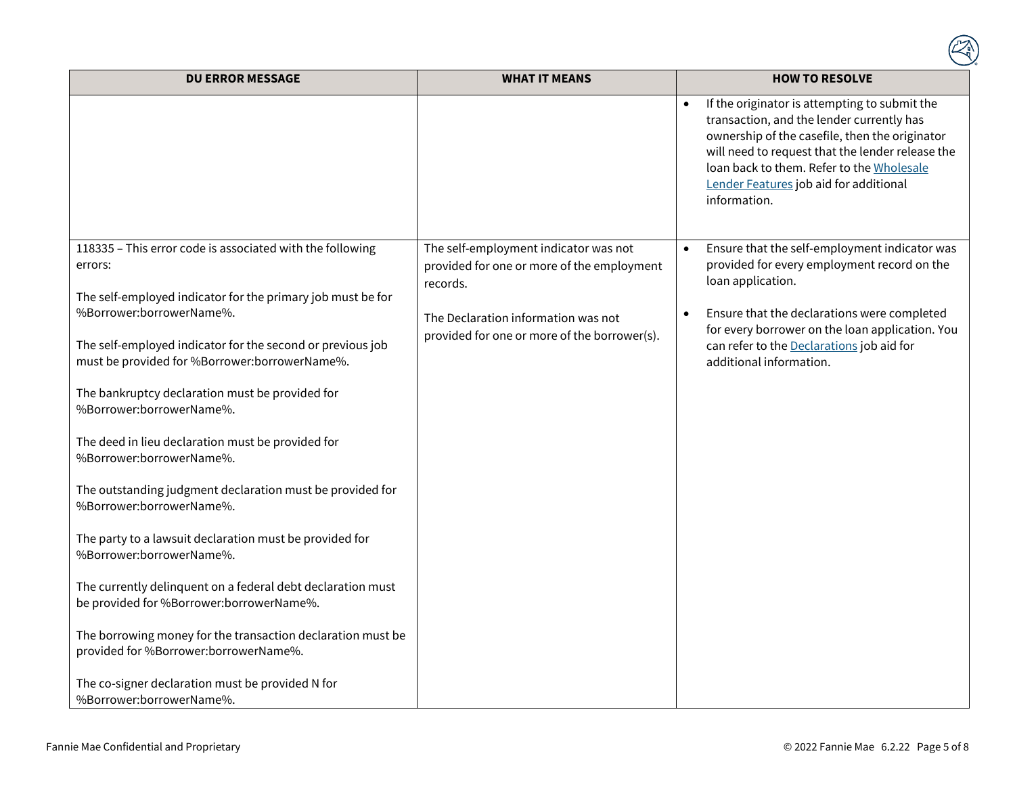| <b>DU ERROR MESSAGE</b>                                                                                                                                                                                                                                                                                                                                                                                                                                                                                                                                                                                                                                                                                                                                                                                                                                                                               | <b>WHAT IT MEANS</b>                                                                                                                                                                   | <b>HOW TO RESOLVE</b>                                                                                                                                                                                                                                                                                                 |
|-------------------------------------------------------------------------------------------------------------------------------------------------------------------------------------------------------------------------------------------------------------------------------------------------------------------------------------------------------------------------------------------------------------------------------------------------------------------------------------------------------------------------------------------------------------------------------------------------------------------------------------------------------------------------------------------------------------------------------------------------------------------------------------------------------------------------------------------------------------------------------------------------------|----------------------------------------------------------------------------------------------------------------------------------------------------------------------------------------|-----------------------------------------------------------------------------------------------------------------------------------------------------------------------------------------------------------------------------------------------------------------------------------------------------------------------|
|                                                                                                                                                                                                                                                                                                                                                                                                                                                                                                                                                                                                                                                                                                                                                                                                                                                                                                       |                                                                                                                                                                                        | If the originator is attempting to submit the<br>$\bullet$<br>transaction, and the lender currently has<br>ownership of the casefile, then the originator<br>will need to request that the lender release the<br>loan back to them. Refer to the Wholesale<br>Lender Features job aid for additional<br>information.  |
| 118335 - This error code is associated with the following<br>errors:<br>The self-employed indicator for the primary job must be for<br>%Borrower:borrowerName%.<br>The self-employed indicator for the second or previous job<br>must be provided for %Borrower:borrowerName%.<br>The bankruptcy declaration must be provided for<br>%Borrower:borrowerName%.<br>The deed in lieu declaration must be provided for<br>%Borrower:borrowerName%.<br>The outstanding judgment declaration must be provided for<br>%Borrower:borrowerName%.<br>The party to a lawsuit declaration must be provided for<br>%Borrower:borrowerName%.<br>The currently delinquent on a federal debt declaration must<br>be provided for %Borrower:borrowerName%.<br>The borrowing money for the transaction declaration must be<br>provided for %Borrower:borrowerName%.<br>The co-signer declaration must be provided N for | The self-employment indicator was not<br>provided for one or more of the employment<br>records.<br>The Declaration information was not<br>provided for one or more of the borrower(s). | Ensure that the self-employment indicator was<br>$\bullet$<br>provided for every employment record on the<br>loan application.<br>Ensure that the declarations were completed<br>$\bullet$<br>for every borrower on the loan application. You<br>can refer to the Declarations job aid for<br>additional information. |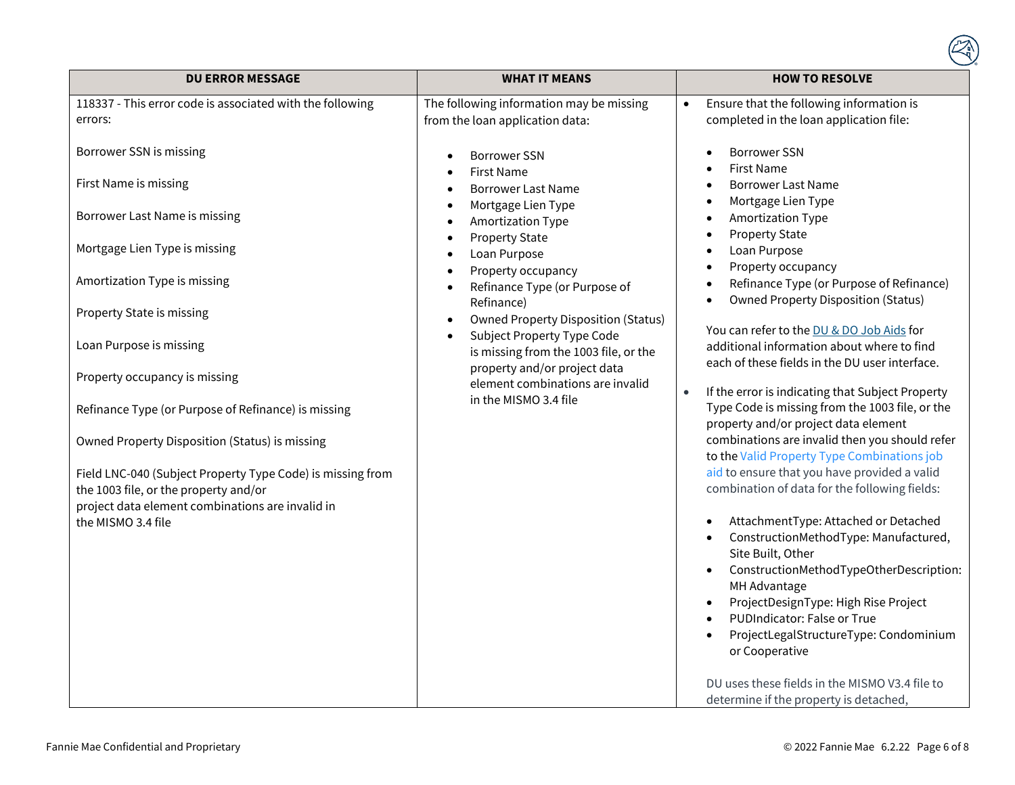| <b>DU ERROR MESSAGE</b>                                                                             | <b>WHAT IT MEANS</b>                                                  | <b>HOW TO RESOLVE</b>                                                                                                                                                                                                                                                                                                                                                                        |
|-----------------------------------------------------------------------------------------------------|-----------------------------------------------------------------------|----------------------------------------------------------------------------------------------------------------------------------------------------------------------------------------------------------------------------------------------------------------------------------------------------------------------------------------------------------------------------------------------|
| 118337 - This error code is associated with the following                                           | The following information may be missing                              | Ensure that the following information is                                                                                                                                                                                                                                                                                                                                                     |
| errors:                                                                                             | from the loan application data:                                       | completed in the loan application file:                                                                                                                                                                                                                                                                                                                                                      |
| Borrower SSN is missing<br>First Name is missing                                                    | <b>Borrower SSN</b><br><b>First Name</b><br><b>Borrower Last Name</b> | <b>Borrower SSN</b><br><b>First Name</b><br><b>Borrower Last Name</b>                                                                                                                                                                                                                                                                                                                        |
| Borrower Last Name is missing                                                                       | Mortgage Lien Type<br>Amortization Type<br><b>Property State</b>      | Mortgage Lien Type<br>$\bullet$<br><b>Amortization Type</b><br><b>Property State</b><br>$\bullet$                                                                                                                                                                                                                                                                                            |
| Mortgage Lien Type is missing                                                                       | Loan Purpose                                                          | Loan Purpose                                                                                                                                                                                                                                                                                                                                                                                 |
| Amortization Type is missing                                                                        | Property occupancy<br>Refinance Type (or Purpose of<br>Refinance)     | Property occupancy<br>Refinance Type (or Purpose of Refinance)<br>$\bullet$<br><b>Owned Property Disposition (Status)</b>                                                                                                                                                                                                                                                                    |
| Property State is missing                                                                           | <b>Owned Property Disposition (Status)</b><br>$\bullet$               |                                                                                                                                                                                                                                                                                                                                                                                              |
| Loan Purpose is missing                                                                             | Subject Property Type Code<br>is missing from the 1003 file, or the   | You can refer to the DU & DO Job Aids for<br>additional information about where to find<br>each of these fields in the DU user interface.                                                                                                                                                                                                                                                    |
| Property occupancy is missing                                                                       | property and/or project data<br>element combinations are invalid      |                                                                                                                                                                                                                                                                                                                                                                                              |
| Refinance Type (or Purpose of Refinance) is missing                                                 | in the MISMO 3.4 file                                                 | If the error is indicating that Subject Property<br>Type Code is missing from the 1003 file, or the<br>property and/or project data element                                                                                                                                                                                                                                                  |
| Owned Property Disposition (Status) is missing                                                      |                                                                       | combinations are invalid then you should refer<br>to the Valid Property Type Combinations job                                                                                                                                                                                                                                                                                                |
| Field LNC-040 (Subject Property Type Code) is missing from<br>the 1003 file, or the property and/or |                                                                       | aid to ensure that you have provided a valid<br>combination of data for the following fields:                                                                                                                                                                                                                                                                                                |
| project data element combinations are invalid in<br>the MISMO 3.4 file                              |                                                                       | AttachmentType: Attached or Detached<br>ConstructionMethodType: Manufactured,<br>Site Built, Other<br>ConstructionMethodTypeOtherDescription:<br>MH Advantage<br>ProjectDesignType: High Rise Project<br>PUDIndicator: False or True<br>ProjectLegalStructureType: Condominium<br>or Cooperative<br>DU uses these fields in the MISMO V3.4 file to<br>determine if the property is detached, |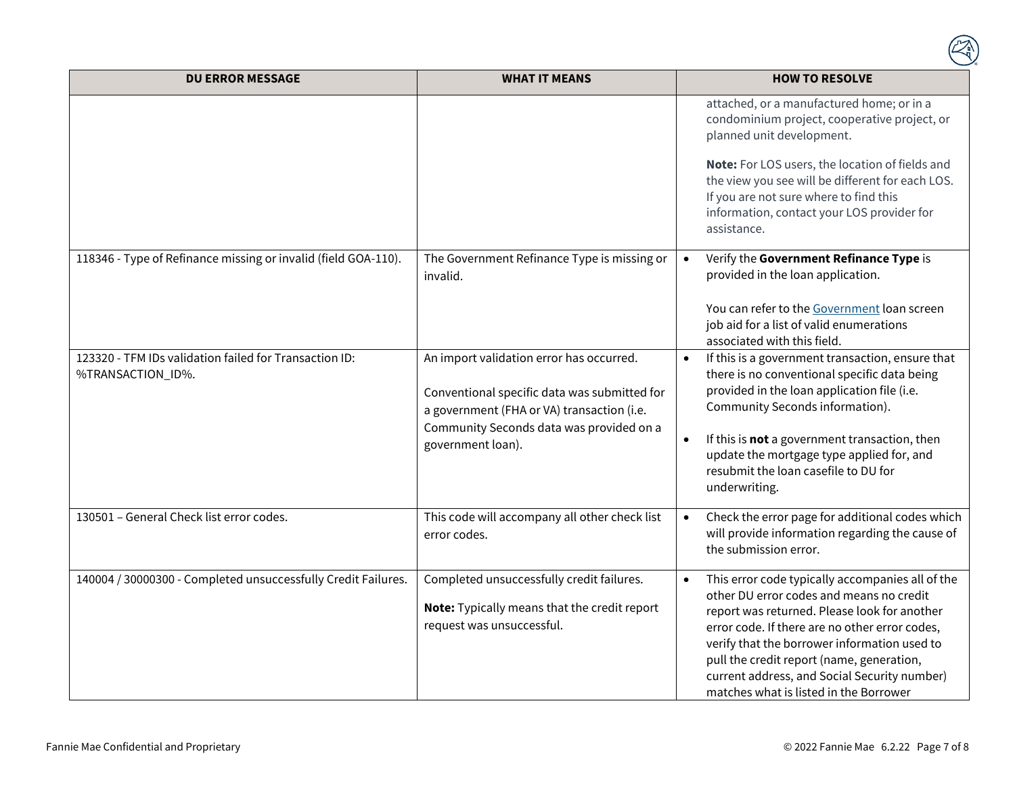| <b>DU ERROR MESSAGE</b>                                                     | <b>WHAT IT MEANS</b>                                                                                                                                                                                    | <b>HOW TO RESOLVE</b>                                                                                                                                                                                                                                                                                                                                                                 |
|-----------------------------------------------------------------------------|---------------------------------------------------------------------------------------------------------------------------------------------------------------------------------------------------------|---------------------------------------------------------------------------------------------------------------------------------------------------------------------------------------------------------------------------------------------------------------------------------------------------------------------------------------------------------------------------------------|
|                                                                             |                                                                                                                                                                                                         | attached, or a manufactured home; or in a<br>condominium project, cooperative project, or<br>planned unit development.<br>Note: For LOS users, the location of fields and<br>the view you see will be different for each LOS.<br>If you are not sure where to find this<br>information, contact your LOS provider for<br>assistance.                                                  |
| 118346 - Type of Refinance missing or invalid (field GOA-110).              | The Government Refinance Type is missing or<br>invalid.                                                                                                                                                 | Verify the Government Refinance Type is<br>$\bullet$<br>provided in the loan application.<br>You can refer to the Government loan screen<br>job aid for a list of valid enumerations<br>associated with this field.                                                                                                                                                                   |
| 123320 - TFM IDs validation failed for Transaction ID:<br>%TRANSACTION_ID%. | An import validation error has occurred.<br>Conventional specific data was submitted for<br>a government (FHA or VA) transaction (i.e.<br>Community Seconds data was provided on a<br>government loan). | If this is a government transaction, ensure that<br>$\bullet$<br>there is no conventional specific data being<br>provided in the loan application file (i.e.<br>Community Seconds information).<br>If this is not a government transaction, then<br>update the mortgage type applied for, and<br>resubmit the loan casefile to DU for<br>underwriting.                                |
| 130501 - General Check list error codes.                                    | This code will accompany all other check list<br>error codes.                                                                                                                                           | Check the error page for additional codes which<br>will provide information regarding the cause of<br>the submission error.                                                                                                                                                                                                                                                           |
| 140004 / 30000300 - Completed unsuccessfully Credit Failures.               | Completed unsuccessfully credit failures.<br>Note: Typically means that the credit report<br>request was unsuccessful.                                                                                  | This error code typically accompanies all of the<br>other DU error codes and means no credit<br>report was returned. Please look for another<br>error code. If there are no other error codes,<br>verify that the borrower information used to<br>pull the credit report (name, generation,<br>current address, and Social Security number)<br>matches what is listed in the Borrower |